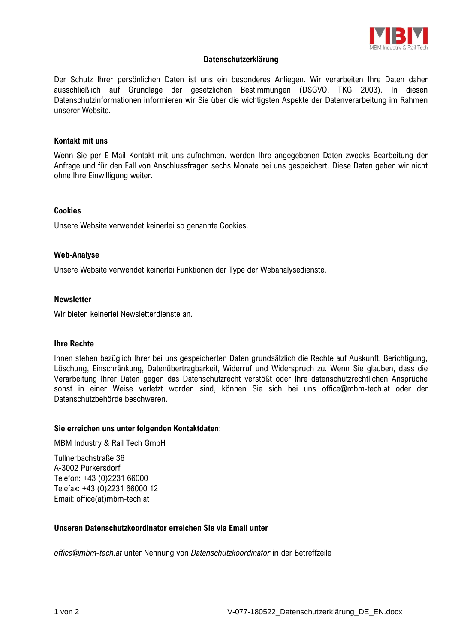

## **Datenschutzerklärung**

Der Schutz Ihrer persönlichen Daten ist uns ein besonderes Anliegen. Wir verarbeiten Ihre Daten daher ausschließlich auf Grundlage der gesetzlichen Bestimmungen (DSGVO, TKG 2003). In diesen Datenschutzinformationen informieren wir Sie über die wichtigsten Aspekte der Datenverarbeitung im Rahmen unserer Website.

## **Kontakt mit uns**

Wenn Sie per E-Mail Kontakt mit uns aufnehmen, werden Ihre angegebenen Daten zwecks Bearbeitung der Anfrage und für den Fall von Anschlussfragen sechs Monate bei uns gespeichert. Diese Daten geben wir nicht ohne Ihre Einwilligung weiter.

#### **Cookies**

Unsere Website verwendet keinerlei so genannte Cookies.

#### **Web-Analyse**

Unsere Website verwendet keinerlei Funktionen der Type der Webanalysedienste.

#### **Newsletter**

Wir bieten keinerlei Newsletterdienste an.

## **Ihre Rechte**

Ihnen stehen bezüglich Ihrer bei uns gespeicherten Daten grundsätzlich die Rechte auf Auskunft, Berichtigung, Löschung, Einschränkung, Datenübertragbarkeit, Widerruf und Widerspruch zu. Wenn Sie glauben, dass die Verarbeitung Ihrer Daten gegen das Datenschutzrecht verstößt oder Ihre datenschutzrechtlichen Ansprüche sonst in einer Weise verletzt worden sind, können Sie sich bei uns office@mbm-tech.at oder der Datenschutzbehörde beschweren.

#### **Sie erreichen uns unter folgenden Kontaktdaten**:

MBM Industry & Rail Tech GmbH

Tullnerbachstraße 36 A-3002 Purkersdorf Telefon: +43 (0)2231 66000 Telefax: +43 (0)2231 66000 12 Email: office(at)mbm-tech.at

## **Unseren Datenschutzkoordinator erreichen Sie via Email unter**

*office@mbm-tech.at* unter Nennung von *Datenschutzkoordinator* in der Betreffzeile